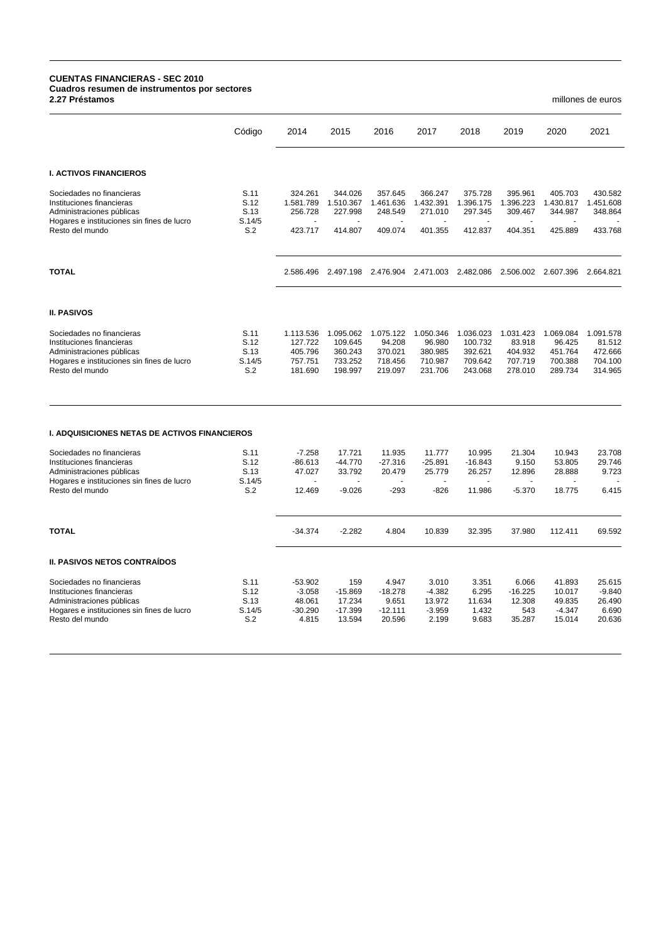## **CUENTAS FINANCIERAS - SEC 2010 Cuadros resumen de instrumentos por sectores 2.27 Préstamos** millones de euros

|                                                                                                                                                      | Código                                | 2014                                                  | 2015                                                  | 2016                                                 | 2017                                                 | 2018                                                  | 2019                                                 | 2020                                                 | 2021                                                 |
|------------------------------------------------------------------------------------------------------------------------------------------------------|---------------------------------------|-------------------------------------------------------|-------------------------------------------------------|------------------------------------------------------|------------------------------------------------------|-------------------------------------------------------|------------------------------------------------------|------------------------------------------------------|------------------------------------------------------|
| <b>I. ACTIVOS FINANCIEROS</b>                                                                                                                        |                                       |                                                       |                                                       |                                                      |                                                      |                                                       |                                                      |                                                      |                                                      |
| Sociedades no financieras<br>Instituciones financieras<br>Administraciones públicas<br>Hogares e instituciones sin fines de lucro                    | S.11<br>S.12<br>S.13<br>S.14/5        | 324.261<br>1.581.789<br>256.728                       | 344.026<br>1.510.367<br>227.998                       | 357.645<br>1.461.636<br>248.549                      | 366.247<br>1.432.391<br>271.010                      | 375.728<br>1.396.175<br>297.345                       | 395.961<br>1.396.223<br>309.467                      | 405.703<br>1.430.817<br>344.987                      | 430.582<br>1.451.608<br>348.864                      |
| Resto del mundo                                                                                                                                      | S.2                                   | 423.717                                               | 414.807                                               | 409.074                                              | 401.355                                              | 412.837                                               | 404.351                                              | 425.889                                              | 433.768                                              |
| <b>TOTAL</b>                                                                                                                                         |                                       | 2.586.496                                             | 2.497.198 2.476.904                                   |                                                      | 2.471.003 2.482.086                                  |                                                       | 2.506.002 2.607.396                                  |                                                      | 2.664.821                                            |
| <b>II. PASIVOS</b>                                                                                                                                   |                                       |                                                       |                                                       |                                                      |                                                      |                                                       |                                                      |                                                      |                                                      |
| Sociedades no financieras<br>Instituciones financieras<br>Administraciones públicas<br>Hogares e instituciones sin fines de lucro<br>Resto del mundo | S.11<br>S.12<br>S.13<br>S.14/5<br>S.2 | 1.113.536<br>127.722<br>405.796<br>757.751<br>181.690 | 1.095.062<br>109.645<br>360.243<br>733.252<br>198.997 | 1.075.122<br>94.208<br>370.021<br>718.456<br>219.097 | 1.050.346<br>96.980<br>380.985<br>710.987<br>231.706 | 1.036.023<br>100.732<br>392.621<br>709.642<br>243.068 | 1.031.423<br>83.918<br>404.932<br>707.719<br>278.010 | 1.069.084<br>96.425<br>451.764<br>700.388<br>289.734 | 1.091.578<br>81.512<br>472.666<br>704.100<br>314.965 |
| <b>I. ADQUISICIONES NETAS DE ACTIVOS FINANCIEROS</b>                                                                                                 |                                       |                                                       |                                                       |                                                      |                                                      |                                                       |                                                      |                                                      |                                                      |
| Sociedades no financieras<br>Instituciones financieras<br>Administraciones públicas                                                                  | S.11<br>S.12<br>S.13                  | $-7.258$<br>$-86.613$<br>47.027                       | 17.721<br>$-44.770$<br>33.792                         | 11.935<br>$-27.316$<br>20.479                        | 11.777<br>$-25.891$<br>25.779                        | 10.995<br>$-16.843$<br>26.257                         | 21.304<br>9.150<br>12.896                            | 10.943<br>53.805<br>28.888                           | 23.708<br>29.746<br>9.723                            |
| Hogares e instituciones sin fines de lucro<br>Resto del mundo                                                                                        | S.14/5<br>S.2                         | 12.469                                                | $-9.026$                                              | $-293$                                               | $-826$                                               | 11.986                                                | $-5.370$                                             | 18.775                                               | 6.415                                                |
| <b>TOTAL</b>                                                                                                                                         |                                       | $-34.374$                                             | $-2.282$                                              | 4.804                                                | 10.839                                               | 32.395                                                | 37.980                                               | 112.411                                              | 69.592                                               |
| <b>II. PASIVOS NETOS CONTRAÍDOS</b>                                                                                                                  |                                       |                                                       |                                                       |                                                      |                                                      |                                                       |                                                      |                                                      |                                                      |
| Sociedades no financieras<br>Instituciones financieras<br>Administraciones públicas<br>Hogares e instituciones sin fines de lucro<br>Resto del mundo | S.11<br>S.12<br>S.13<br>S.14/5<br>S.2 | $-53.902$<br>$-3.058$<br>48.061<br>$-30.290$<br>4.815 | 159<br>$-15.869$<br>17.234<br>$-17.399$<br>13.594     | 4.947<br>$-18.278$<br>9.651<br>$-12.111$<br>20.596   | 3.010<br>$-4.382$<br>13.972<br>$-3.959$<br>2.199     | 3.351<br>6.295<br>11.634<br>1.432<br>9.683            | 6.066<br>$-16.225$<br>12.308<br>543<br>35.287        | 41.893<br>10.017<br>49.835<br>$-4.347$<br>15.014     | 25.615<br>$-9.840$<br>26.490<br>6.690<br>20.636      |